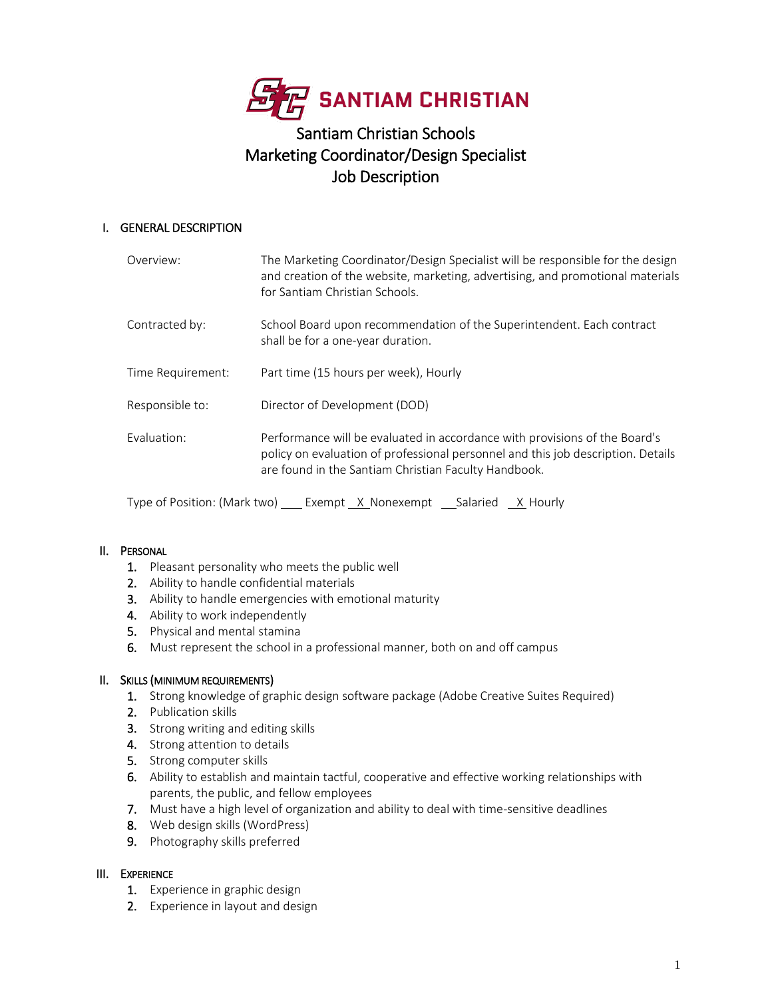

# Santiam Christian Schools Marketing Coordinator/Design Specialist Job Description

# I. GENERAL DESCRIPTION

| Overview:         | The Marketing Coordinator/Design Specialist will be responsible for the design<br>and creation of the website, marketing, advertising, and promotional materials<br>for Santiam Christian Schools.                     |
|-------------------|------------------------------------------------------------------------------------------------------------------------------------------------------------------------------------------------------------------------|
| Contracted by:    | School Board upon recommendation of the Superintendent. Each contract<br>shall be for a one-year duration.                                                                                                             |
| Time Requirement: | Part time (15 hours per week), Hourly                                                                                                                                                                                  |
| Responsible to:   | Director of Development (DOD)                                                                                                                                                                                          |
| Evaluation:       | Performance will be evaluated in accordance with provisions of the Board's<br>policy on evaluation of professional personnel and this job description. Details<br>are found in the Santiam Christian Faculty Handbook. |

Type of Position: (Mark two)  $\frac{\ }{}$  Exempt  $\frac{\ }{}$  Nonexempt  $\frac{\ }{}$  Salaried  $\frac{\ }{X}$  Hourly

# II. PERSONAL

- 1. Pleasant personality who meets the public well
- 2. Ability to handle confidential materials
- 3. Ability to handle emergencies with emotional maturity
- 4. Ability to work independently
- 5. Physical and mental stamina
- 6. Must represent the school in a professional manner, both on and off campus

# II. SKILLS (MINIMUM REQUIREMENTS)

- 1. Strong knowledge of graphic design software package (Adobe Creative Suites Required)
- 2. Publication skills
- 3. Strong writing and editing skills
- 4. Strong attention to details
- 5. Strong computer skills
- 6. Ability to establish and maintain tactful, cooperative and effective working relationships with parents, the public, and fellow employees
- 7. Must have a high level of organization and ability to deal with time-sensitive deadlines
- 8. Web design skills (WordPress)
- 9. Photography skills preferred

# III. EXPERIENCE

- 1. Experience in graphic design
- 2. Experience in layout and design